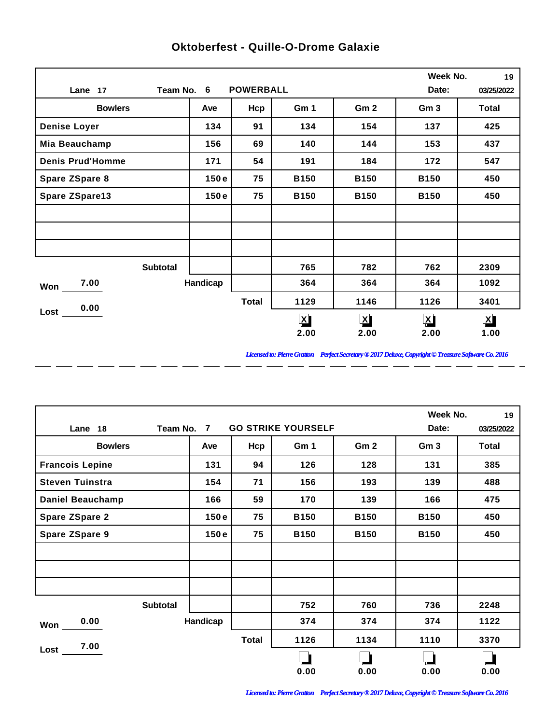|                         |            |                  |                         |                 | Week No.                | 19           |
|-------------------------|------------|------------------|-------------------------|-----------------|-------------------------|--------------|
| Lane 17                 | Team No. 6 | <b>POWERBALL</b> |                         |                 | Date:                   | 03/25/2022   |
| <b>Bowlers</b>          | Ave        | Hcp              | Gm 1                    | Gm <sub>2</sub> | Gm <sub>3</sub>         | <b>Total</b> |
| <b>Denise Loyer</b>     | 134        | 91               | 134                     | 154             | 137                     | 425          |
| Mia Beauchamp           | 156        | 69               | 140                     | 144             | 153                     | 437          |
| <b>Denis Prud'Homme</b> | 171        | 54               | 191                     | 184             | 172                     | 547          |
| Spare ZSpare 8          | 150e       | 75               | <b>B150</b>             | <b>B150</b>     | <b>B150</b>             | 450          |
| <b>Spare ZSpare13</b>   | 150e       | 75               | <b>B150</b>             | <b>B150</b>     | <b>B150</b>             | 450          |
|                         |            |                  |                         |                 |                         |              |
|                         |            |                  |                         |                 |                         |              |
|                         |            |                  |                         |                 |                         |              |
| <b>Subtotal</b>         |            |                  | 765                     | 782             | 762                     | 2309         |
| 7.00<br>Won             | Handicap   |                  | 364                     | 364             | 364                     | 1092         |
| 0.00                    |            | <b>Total</b>     | 1129                    | 1146            | 1126                    | 3401         |
| Lost                    |            |                  | $\overline{\mathbf{X}}$ | $\mathbf{X}$    | $\overline{\mathbf{X}}$ | $\mathbf{X}$ |
|                         |            |                  | 2.00                    | 2.00            | 2.00                    | 1.00         |

 $-$ 

 $\overline{a}$ 

 $\overline{a}$ 

 $\overline{a}$ 

 $\overline{a}$ 

 $\overline{a}$ 

 $\overline{a}$ 

 $\overline{a}$ 

## **Oktoberfest - Quille-O-Drome Galaxie**

*Licensed to: Pierre Gratton Perfect Secretary ® 2017 Deluxe, Copyright © Treasure Software Co. 2016*

<u> 2002 - 2003 - 2003 - 2003 - 2003 - 2003 - 2003 - 2003 - 2003 - 2003 - 2003 - 2003 - 2003 - 2003 - 2003 - 200</u>

|                         |                 |          |              |                           |                 |                 | Week No.<br>19 |
|-------------------------|-----------------|----------|--------------|---------------------------|-----------------|-----------------|----------------|
| Lane 18                 | Team No.        | 7        |              | <b>GO STRIKE YOURSELF</b> |                 | Date:           | 03/25/2022     |
| <b>Bowlers</b>          |                 | Ave      | Hcp          | Gm 1                      | Gm <sub>2</sub> | Gm <sub>3</sub> | Total          |
| <b>Francois Lepine</b>  |                 | 131      | 94           | 126                       | 128             | 131             | 385            |
| <b>Steven Tuinstra</b>  |                 | 154      | 71           | 156                       | 193             | 139             | 488            |
| <b>Daniel Beauchamp</b> |                 | 166      | 59           | 170                       | 139             | 166             | 475            |
| <b>Spare ZSpare 2</b>   |                 | 150e     | 75           | <b>B150</b>               | <b>B150</b>     | <b>B150</b>     | 450            |
| <b>Spare ZSpare 9</b>   |                 | 150e     | 75           | <b>B150</b>               | <b>B150</b>     | <b>B150</b>     | 450            |
|                         |                 |          |              |                           |                 |                 |                |
|                         |                 |          |              |                           |                 |                 |                |
|                         |                 |          |              |                           |                 |                 |                |
|                         | <b>Subtotal</b> |          |              | 752                       | 760             | 736             | 2248           |
| 0.00<br>Won             |                 | Handicap |              | 374                       | 374             | 374             | 1122           |
| 7.00                    |                 |          | <b>Total</b> | 1126                      | 1134            | 1110            | 3370           |
| Lost                    |                 |          |              |                           |                 |                 |                |
|                         |                 |          |              | 0.00                      | 0.00            | 0.00            | 0.00           |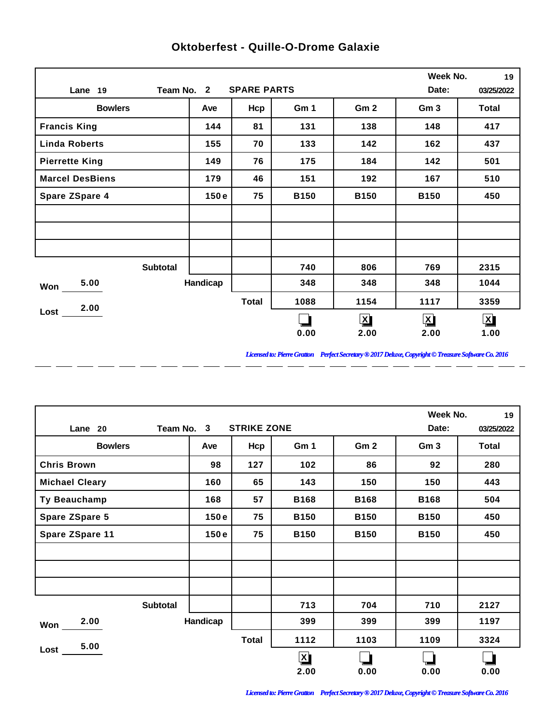|                        |          |                    |             |                 | Week No.           | 19           |
|------------------------|----------|--------------------|-------------|-----------------|--------------------|--------------|
| Team No. 2<br>Lane 19  |          | <b>SPARE PARTS</b> |             |                 | Date:              | 03/25/2022   |
| <b>Bowlers</b>         | Ave      | Hcp                | Gm 1        | Gm <sub>2</sub> | Gm <sub>3</sub>    | <b>Total</b> |
| <b>Francis King</b>    | 144      | 81                 | 131         | 138             | 148                | 417          |
| <b>Linda Roberts</b>   | 155      | 70                 | 133         | 142             | 162                | 437          |
| <b>Pierrette King</b>  | 149      | 76                 | 175         | 184             | 142                | 501          |
| <b>Marcel DesBiens</b> | 179      | 46                 | 151         | 192             | 167                | 510          |
| <b>Spare ZSpare 4</b>  | 150e     | 75                 | <b>B150</b> | <b>B150</b>     | <b>B150</b>        | 450          |
|                        |          |                    |             |                 |                    |              |
|                        |          |                    |             |                 |                    |              |
|                        |          |                    |             |                 |                    |              |
| <b>Subtotal</b>        |          |                    | 740         | 806             | 769                | 2315         |
| 5.00<br>Won            | Handicap |                    | 348         | 348             | 348                | 1044         |
| 2.00                   |          | <b>Total</b>       | 1088        | 1154            | 1117               | 3359         |
| Lost                   |          |                    |             | $\mathbf{X}$    | $\bar{\mathbf{X}}$ | ⊠            |
|                        |          |                    | 0.00        | 2.00            | 2.00               | 1.00         |

 $\overline{a}$ 

 $\overline{a}$ 

 $\overline{a}$ 

 $\overline{a}$ 

 $\overline{a}$ 

 $-$ 

 $\overline{a}$ 

 $=$   $=$ 

## **Oktoberfest - Quille-O-Drome Galaxie**

*Licensed to: Pierre Gratton Perfect Secretary ® 2017 Deluxe, Copyright © Treasure Software Co. 2016* 

 $\overline{\phantom{0}}$ 

|                       |            |                    |              |                 | Week No.        | 19           |
|-----------------------|------------|--------------------|--------------|-----------------|-----------------|--------------|
| Lane 20               | Team No. 3 | <b>STRIKE ZONE</b> |              |                 | Date:           | 03/25/2022   |
| <b>Bowlers</b>        | Ave        | Hcp                | Gm 1         | Gm <sub>2</sub> | Gm <sub>3</sub> | <b>Total</b> |
| <b>Chris Brown</b>    | 98         | 127                | 102          | 86              | 92              | 280          |
| <b>Michael Cleary</b> | 160        | 65                 | 143          | 150             | 150             | 443          |
| Ty Beauchamp          | 168        | 57                 | <b>B168</b>  | <b>B168</b>     | <b>B168</b>     | 504          |
| <b>Spare ZSpare 5</b> | 150e       | 75                 | <b>B150</b>  | <b>B150</b>     | <b>B150</b>     | 450          |
| Spare ZSpare 11       | 150e       | 75                 | <b>B150</b>  | <b>B150</b>     | <b>B150</b>     | 450          |
|                       |            |                    |              |                 |                 |              |
|                       |            |                    |              |                 |                 |              |
|                       |            |                    |              |                 |                 |              |
| <b>Subtotal</b>       |            |                    | 713          | 704             | 710             | 2127         |
| 2.00<br>Won           | Handicap   |                    | 399          | 399             | 399             | 1197         |
| 5.00                  |            | <b>Total</b>       | 1112         | 1103            | 1109            | 3324         |
| Lost                  |            |                    | $\mathbf{X}$ |                 |                 |              |
|                       |            |                    | 2.00         | 0.00            | 0.00            | 0.00         |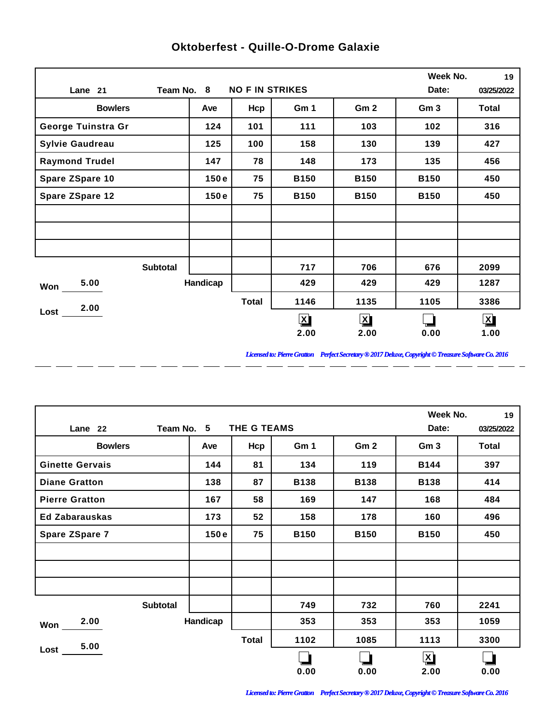|                        |                 |          |                        |              |                         | Week No.        | 19                      |
|------------------------|-----------------|----------|------------------------|--------------|-------------------------|-----------------|-------------------------|
| Lane 21                | Team No. 8      |          | <b>NO F IN STRIKES</b> |              |                         | Date:           | 03/25/2022              |
| <b>Bowlers</b>         |                 | Ave      | Hcp                    | Gm 1         | Gm <sub>2</sub>         | Gm <sub>3</sub> | <b>Total</b>            |
| George Tuinstra Gr     |                 | 124      | 101                    | 111          | 103                     | 102             | 316                     |
| <b>Sylvie Gaudreau</b> |                 | 125      | 100                    | 158          | 130                     | 139             | 427                     |
| <b>Raymond Trudel</b>  |                 | 147      | 78                     | 148          | 173                     | 135             | 456                     |
| Spare ZSpare 10        |                 | 150e     | 75                     | <b>B150</b>  | <b>B150</b>             | <b>B150</b>     | 450                     |
| <b>Spare ZSpare 12</b> |                 | 150e     | 75                     | <b>B150</b>  | <b>B150</b>             | <b>B150</b>     | 450                     |
|                        |                 |          |                        |              |                         |                 |                         |
|                        |                 |          |                        |              |                         |                 |                         |
|                        |                 |          |                        |              |                         |                 |                         |
|                        | <b>Subtotal</b> |          |                        | 717          | 706                     | 676             | 2099                    |
| 5.00<br>Won            |                 | Handicap |                        | 429          | 429                     | 429             | 1287                    |
| 2.00<br>Lost           |                 |          | <b>Total</b>           | 1146         | 1135                    | 1105            | 3386                    |
|                        |                 |          |                        | $\mathbf{X}$ | $\overline{\mathbf{X}}$ |                 | $\overline{\mathbf{X}}$ |
|                        |                 |          |                        | 2.00         | 2.00                    | 0.00            | 1.00                    |

 $-$ 

 $\overline{a}$ 

 $=$   $=$ 

 $\overline{a}$ 

 $\overline{a}$ 

 $\overline{a}$ 

 $\overline{a}$ 

 $\overline{a}$ 

## **Oktoberfest - Quille-O-Drome Galaxie**

*Licensed to: Pierre Gratton Perfect Secretary ® 2017 Deluxe, Copyright © Treasure Software Co. 2016* \_ \_\_ \_\_ \_\_ \_\_ \_\_ \_\_ \_\_ \_\_ \_\_ \_\_ \_\_

 $=$   $-$ 

|                        |                 |              | Week No.    | 19              |                      |            |
|------------------------|-----------------|--------------|-------------|-----------------|----------------------|------------|
| Lane 22                | Team No. 5      | THE G TEAMS  |             |                 | Date:                | 03/25/2022 |
| <b>Bowlers</b>         | Ave             | Hcp          | Gm 1        | Gm <sub>2</sub> | Gm <sub>3</sub>      | Total      |
| <b>Ginette Gervais</b> | 144             | 81           | 134         | 119             | <b>B144</b>          | 397        |
| <b>Diane Gratton</b>   | 138             | 87           | <b>B138</b> | <b>B138</b>     | <b>B138</b>          | 414        |
| <b>Pierre Gratton</b>  | 167             | 58           | 169         | 147             | 168                  | 484        |
| <b>Ed Zabarauskas</b>  | 173             | 52           | 158         | 178             | 160                  | 496        |
| Spare ZSpare 7         | 150e            | 75           | <b>B150</b> | <b>B150</b>     | <b>B150</b>          | 450        |
|                        |                 |              |             |                 |                      |            |
|                        |                 |              |             |                 |                      |            |
|                        |                 |              |             |                 |                      |            |
|                        | <b>Subtotal</b> |              | 749         | 732             | 760                  | 2241       |
| 2.00<br>Won            | Handicap        |              | 353         | 353             | 353                  | 1059       |
| 5.00                   |                 | <b>Total</b> | 1102        | 1085            | 1113                 | 3300       |
| Lost                   |                 |              |             |                 | $\boxed{\mathbf{X}}$ |            |
|                        |                 |              | 0.00        | 0.00            | 2.00                 | 0.00       |